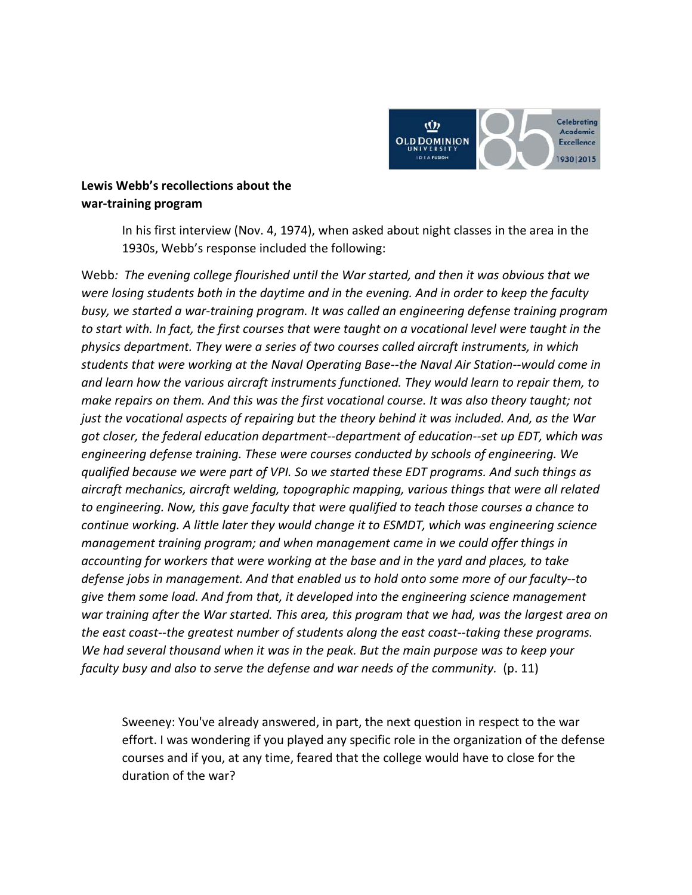

## **Lewis Webb's recollections about the war-training program**

In his first interview (Nov. 4, 1974), when asked about night classes in the area in the 1930s, Webb's response included the following:

Webb*: The evening college flourished until the War started, and then it was obvious that we were losing students both in the daytime and in the evening. And in order to keep the faculty busy, we started a war-training program. It was called an engineering defense training program to start with. In fact, the first courses that were taught on a vocational level were taught in the physics department. They were a series of two courses called aircraft instruments, in which students that were working at the Naval Operating Base--the Naval Air Station--would come in and learn how the various aircraft instruments functioned. They would learn to repair them, to make repairs on them. And this was the first vocational course. It was also theory taught; not just the vocational aspects of repairing but the theory behind it was included. And, as the War got closer, the federal education department--department of education--set up EDT, which was engineering defense training. These were courses conducted by schools of engineering. We qualified because we were part of VPI. So we started these EDT programs. And such things as aircraft mechanics, aircraft welding, topographic mapping, various things that were all related to engineering. Now, this gave faculty that were qualified to teach those courses a chance to continue working. A little later they would change it to ESMDT, which was engineering science management training program; and when management came in we could offer things in accounting for workers that were working at the base and in the yard and places, to take defense jobs in management. And that enabled us to hold onto some more of our faculty--to give them some load. And from that, it developed into the engineering science management war training after the War started. This area, this program that we had, was the largest area on the east coast--the greatest number of students along the east coast--taking these programs. We had several thousand when it was in the peak. But the main purpose was to keep your faculty busy and also to serve the defense and war needs of the community.* (p. 11)

Sweeney: You've already answered, in part, the next question in respect to the war effort. I was wondering if you played any specific role in the organization of the defense courses and if you, at any time, feared that the college would have to close for the duration of the war?